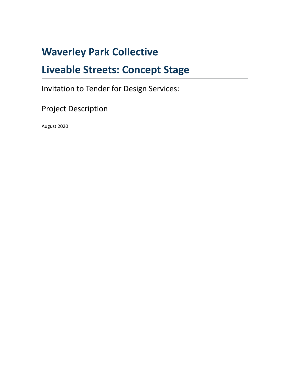## **Waverley Park Collective**

## **Liveable Streets: Concept Stage**

Invitation to Tender for Design Services:

Project Description

August 2020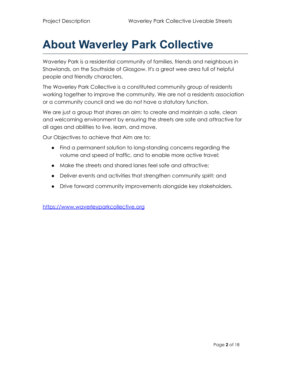# **About Waverley Park Collective**

Waverley Park is a residential community of families, friends and neighbours in Shawlands, on the Southside of Glasgow. It's a great wee area full of helpful people and friendly characters.

The Waverley Park Collective is a constituted community group of residents working together to improve the community. We are not a residents association or a community council and we do not have a statutory function.

We are just a group that shares an aim: to create and maintain a safe, clean and welcoming environment by ensuring the streets are safe and attractive for all ages and abilities to live, learn, and move.

Our Objectives to achieve that Aim are to:

- Find a permanent solution to long-standing concerns regarding the volume and speed of traffic, and to enable more active travel;
- Make the streets and shared lanes feel safe and attractive;
- Deliver events and activities that strengthen community spirit; and
- Drive forward community improvements alongside key stakeholders.

<https://www.waverleyparkcollective.org>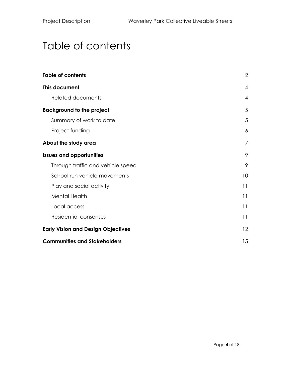## <span id="page-3-0"></span>Table of contents

| <b>Table of contents</b>                  | $\overline{2}$ |
|-------------------------------------------|----------------|
| This document                             | $\overline{4}$ |
| <b>Related documents</b>                  | $\overline{A}$ |
| <b>Background to the project</b>          | 5              |
| Summary of work to date                   | 5              |
| Project funding                           | 6              |
| About the study area                      | $\overline{7}$ |
| <b>Issues and opportunities</b>           | 9              |
| Through traffic and vehicle speed         | 9              |
| School run vehicle movements              | 10             |
| Play and social activity                  | 11             |
| <b>Mental Health</b>                      | 11             |
| Local access                              | 11             |
| Residential consensus                     | 11             |
| <b>Early Vision and Design Objectives</b> | 12             |
| <b>Communities and Stakeholders</b>       | 15             |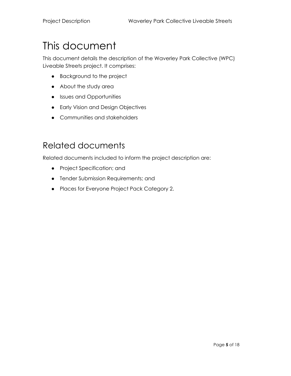# <span id="page-4-0"></span>This document

This document details the description of the Waverley Park Collective (WPC) Liveable Streets project. It comprises:

- Background to the project
- About the study area
- Issues and Opportunities
- Early Vision and Design Objectives
- Communities and stakeholders

#### <span id="page-4-1"></span>Related documents

Related documents included to inform the project description are:

- Project Specification; and
- Tender Submission Requirements; and
- Places for Everyone Project Pack Category 2.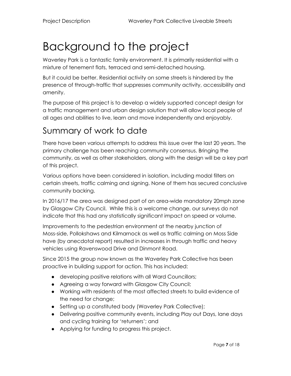# <span id="page-6-0"></span>Background to the project

Waverley Park is a fantastic family environment. It is primarily residential with a mixture of tenement flats, terraced and semi-detached housing.

But it could be better. Residential activity on some streets is hindered by the presence of through-traffic that suppresses community activity, accessibility and amenity.

The purpose of this project is to develop a widely supported concept design for a traffic management and urban design solution that will allow local people of all ages and abilities to live, learn and move independently and enjoyably.

#### <span id="page-6-1"></span>Summary of work to date

There have been various attempts to address this issue over the last 20 years. The primary challenge has been reaching community consensus. Bringing the community, as well as other stakeholders, along with the design will be a key part of this project.

Various options have been considered in isolation, including modal filters on certain streets, traffic calming and signing. None of them has secured conclusive community backing.

In 2016/17 the area was designed part of an area-wide mandatory 20mph zone by Glasgow City Council. While this is a welcome change, our surveys do not indicate that this had any statistically significant impact on speed or volume.

Improvements to the pedestrian environment at the nearby junction of Moss-side, Pollokshaws and Kilmarnock as well as traffic calming on Moss Side have (by anecdotal report) resulted in increases in through traffic and heavy vehicles using Ravenswood Drive and Dinmont Road.

Since 2015 the group now known as the Waverley Park Collective has been proactive in building support for action. This has included:

- developing positive relations with all Ward Councillors;
- Agreeing a way forward with Glasgow City Council;
- Working with residents of the most affected streets to build evidence of the need for change;
- Setting up a constituted body (Waverley Park Collective);
- Delivering positive community events, including Play out Days, lane days and cycling training for 'returners'; and
- Applying for funding to progress this project.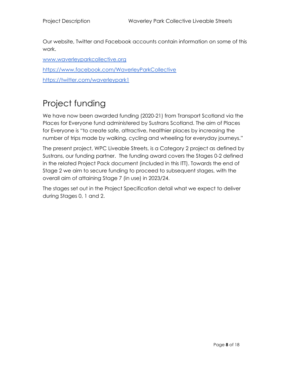Our website, Twitter and Facebook accounts contain information on some of this work.

www.waverleyparkcollective.org

<https://www.facebook.com/WaverleyParkCollective>

<https://twitter.com/waverleypark1>

#### <span id="page-7-0"></span>Project funding

We have now been awarded funding (2020-21) from Transport Scotland via the Places for Everyone fund administered by Sustrans Scotland. The aim of Places for Everyone is "to create safe, attractive, healthier places by increasing the number of trips made by walking, cycling and wheeling for everyday journeys."

The present project, WPC Liveable Streets, is a Category 2 project as defined by Sustrans, our funding partner. The funding award covers the Stages 0-2 defined in the related Project Pack document (included in this ITT). Towards the end of Stage 2 we aim to secure funding to proceed to subsequent stages, with the overall aim of attaining Stage 7 (in use) in 2023/24.

The stages set out in the Project Specification detail what we expect to deliver during Stages 0, 1 and 2.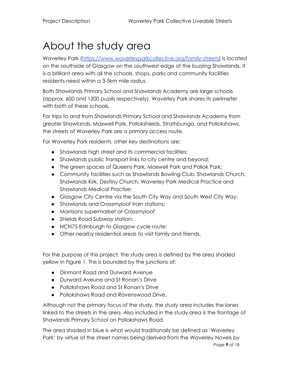## <span id="page-8-0"></span>About the study area

Waverley Park ([https://www.waverleyparkcollective.org/family-streets\)](https://www.waverleyparkcollective.org/family-streets) is located on the southside of Glasgow on the southwest edge of the buzzing Shawlands. It is a brilliant area with all the schools, shops, parks and community facilities residents need within a 3-5km mile radius.

Both Shawlands Primary School and Shawlands Academy are large schools (approx. 600 and 1200 pupils respectively). Waverley Park shares its perimeter with both of these schools.

For trips to and from Shawlands Primary School and Shawlands Academy from greater Shawlands, Maxwell Park, Pollokshields, Strathbungo, and Pollokshaws, the streets of Waverley Park are a primary access route.

For Waverley Park residents, other key destinations are:

- Shawlands high street and its commercial facilities;
- Shawlands public transport links to city centre and beyond;
- The green spaces of Queens Park, Maxwell Park and Pollok Park;
- Community facilities such as Shawlands Bowling Club, Shawlands Church, Shawlands Kirk, Destiny Church, Waverley Park Medical Practice and Shawlands Medical Practise;
- Glasgow City Centre via the South City Way and South West City Way;
- Shawlands and Crossmyloof train stations;
- Morrisons supermarket at Crossmyloof
- Shields Road Subway station;
- NCN75 Edinburgh to Glasgow cycle route;
- Other nearby residential areas to visit family and friends.

For the purpose of this project, the study area is defined by the area shaded yellow in Figure 1. This is bounded by the junctions of:

- Dinmont Road and Durward Avenue
- Durward Aveune and St Ronan's Drive
- Pollokshaws Road and St Ronan's Drive
- Pollokshaws Road and Ravenswood Drive.

Although not the primary focus of the study, the study area includes the lanes linked to the streets in the area. Also included in the study area is the frontage of Shawlands Primary School on Pollokshaws Road.

The area shaded in blue is what would traditionally be defined as 'Waverley Park' by virtue of the street names being derived from the Waverley Novels by Page **9** of 18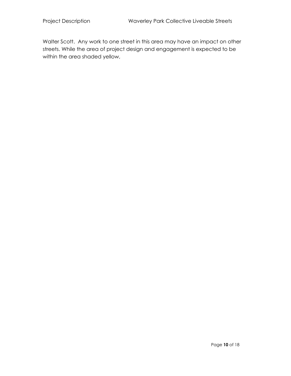Walter Scott. Any work to one street in this area may have an impact on other streets. While the area of project design and engagement is expected to be within the area shaded yellow,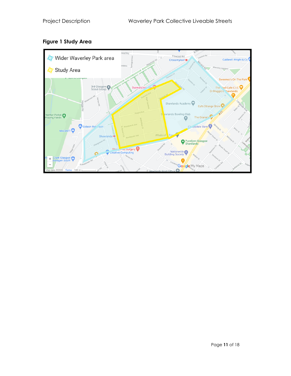

#### **Figure 1 Study Area**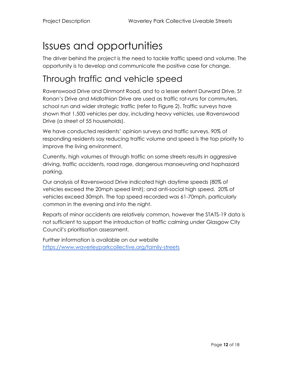# <span id="page-11-0"></span>Issues and opportunities

The driver behind the project is the need to tackle traffic speed and volume. The opportunity is to develop and communicate the positive case for change.

### <span id="page-11-1"></span>Through traffic and vehicle speed

Ravenswood Drive and Dinmont Road, and to a lesser extent Durward Drive, St Ronan's Drive and Midlothian Drive are used as traffic rat-runs for commuters, school run and wider strategic traffic (refer to Figure 2). Traffic surveys have shown that 1,500 vehicles per day, including heavy vehicles, use Ravenswood Drive (a street of 55 households).

We have conducted residents' opinion surveys and traffic surveys. 90% of responding residents say reducing traffic volume and speed is the top priority to improve the living environment.

Currently, high volumes of through traffic on some streets results in aggressive driving, traffic accidents, road rage, dangerous manoeuvring and haphazard parking.

Our analysis of Ravenswood Drive indicated high daytime speeds (80% of vehicles exceed the 20mph speed limit); and anti-social high speed. 20% of vehicles exceed 30mph. The top speed recorded was 61-70mph, particularly common in the evening and into the night.

Reports of minor accidents are relatively common, however the STATS-19 data is not sufficient to support the introduction of traffic calming under Glasgow City Council's prioritisation assessment.

Further information is available on our website <https://www.waverleyparkcollective.org/family-streets>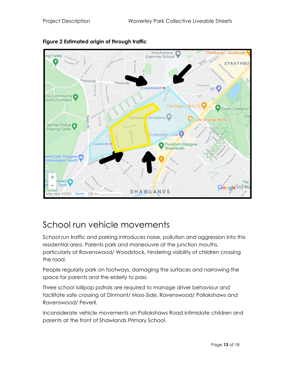

#### **Figure 2 Estimated origin of through traffic**

### <span id="page-12-0"></span>School run vehicle movements

School run traffic and parking introduces noise, pollution and aggression into this residential area. Parents park and maneouvre at the junction mouths, particularly at Ravenswood/ Woodstock, hindering visibility of children crossing the road.

People regularly park on footways, damaging the surfaces and narrowing the space for parents and the elderly to pass.

Three school lollipop patrols are required to manage driver behaviour and facilitate safe crossing at Dinmont/ Moss-Side, Ravenswood/ Pollokshaws and Ravenswood/ Peveril.

Inconsiderate vehicle movements on Pollokshaws Road intimidate children and parents at the front of Shawlands Primary School.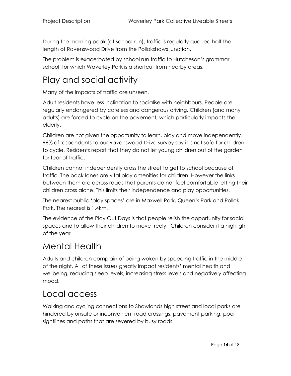During the morning peak (at school run), traffic is regularly queued half the length of Ravenswood Drive from the Pollokshaws junction.

The problem is exacerbated by school run traffic to Hutcheson's grammar school, for which Waverley Park is a shortcut from nearby areas.

### <span id="page-13-0"></span>Play and social activity

Many of the impacts of traffic are unseen.

Adult residents have less inclination to socialise with neighbours. People are regularly endangered by careless and dangerous driving. Children (and many adults) are forced to cycle on the pavement, which particularly impacts the elderly.

Children are not given the opportunity to learn, play and move independently. 96% of respondents to our Ravenswood Drive survey say it is not safe for children to cycle. Residents report that they do not let young children out of the garden for fear of traffic.

Children cannot independently cross the street to get to school because of traffic. The back lanes are vital play amenities for children. However the links between them are across roads that parents do not feel comfortable letting their children cross alone. This limits their independence and play opportunities.

The nearest public 'play spaces' are in Maxwell Park, Queen's Park and Pollok Park. The nearest is 1.4km.

The evidence of the Play Out Days is that people relish the opportunity for social spaces and to allow their children to move freely. Children consider it a highlight of the year.

#### <span id="page-13-1"></span>Mental Health

Adults and children complain of being woken by speeding traffic in the middle of the night. All of these issues greatly impact residents' mental health and wellbeing, reducing sleep levels, increasing stress levels and negatively affecting mood.

### <span id="page-13-2"></span>Local access

Walking and cycling connections to Shawlands high street and local parks are hindered by unsafe or inconvenient road crossings, pavement parking, poor sightlines and paths that are severed by busy roads.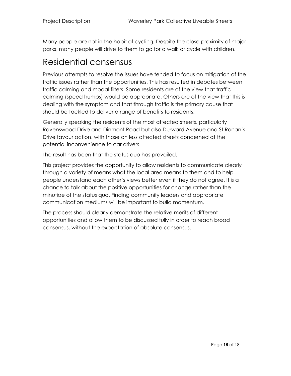Many people are not in the habit of cycling. Despite the close proximity of major parks, many people will drive to them to go for a walk or cycle with children.

#### <span id="page-14-0"></span>Residential consensus

Previous attempts to resolve the issues have tended to focus on mitigation of the traffic issues rather than the opportunities. This has resulted in debates between traffic calming and modal filters. Some residents are of the view that traffic calming (speed humps) would be appropriate. Others are of the view that this is dealing with the symptom and that through traffic is the primary cause that should be tackled to deliver a range of benefits to residents.

Generally speaking the residents of the most affected streets, particularly Ravenswood Drive and Dinmont Road but also Durward Avenue and St Ronan's Drive favour action, with those on less affected streets concerned at the potential inconvenience to car drivers.

The result has been that the status quo has prevailed.

This project provides the opportunity to allow residents to communicate clearly through a variety of means what the local area means to them and to help people understand each other's views better even if they do not agree. It is a chance to talk about the positive opportunities for change rather than the minutiae of the status quo. Finding community leaders and appropriate communication mediums will be important to build momentum.

The process should clearly demonstrate the relative merits of different opportunities and allow them to be discussed fully in order to reach broad consensus, without the expectation of absolute consensus.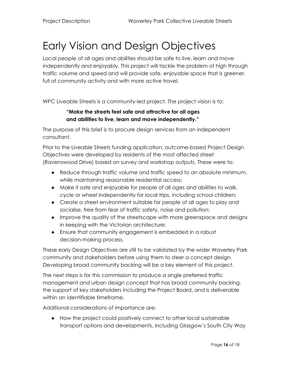# <span id="page-15-0"></span>Early Vision and Design Objectives

Local people of all ages and abilities should be safe to live, learn and move independently and enjoyably. This project will tackle the problem of high through traffic volume and speed and will provide safe, enjoyable space that is greener, full of community activity and with more active travel.

WPC Liveable Streets is a community-led project. The project vision is to:

#### **"Make the streets feel safe and attractive for all ages and abilities to live, learn and move independently."**

The purpose of this brief is to procure design services from an independent consultant.

Prior to the Liveable Streets funding application, outcome-based Project Design Objectives were developed by residents of the most affected street (Ravenswood Drive) based on survey and workshop outputs. These were to:

- Reduce through traffic volume and traffic speed to an absolute minimum, while maintaining reasonable residential access;
- Make it safe and enjoyable for people of all ages and abilities to walk, cycle or wheel independently for local trips, including school children;
- Create a street environment suitable for people of all ages to play and socialise, free from fear of traffic safety, noise and pollution;
- Improve the quality of the streetscape with more greenspace and designs in keeping with the Victorian architecture;
- Ensure that community engagement is embedded in a robust decision-making process.

These early Design Objectives are still to be validated by the wider Waverley Park community and stakeholders before using them to steer a concept design. Developing broad community backing will be a key element of this project.

The next steps is for this commission to produce a single preferred traffic management and urban design concept that has broad community backing, the support of key stakeholders including the Project Board, and is deliverable within an identifiable timeframe.

Additional considerations of importance are:

● How the project could positively connect to other local sustainable transport options and developments, including Glasgow's South City Way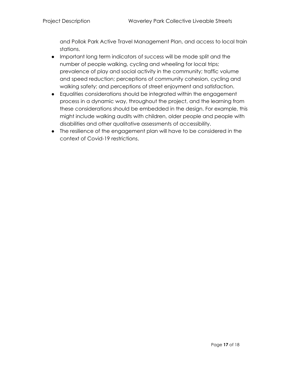and Pollok Park Active Travel Management Plan, and access to local train stations.

- Important long term indicators of success will be mode split and the number of people walking, cycling and wheeling for local trips; prevalence of play and social activity in the community; traffic volume and speed reduction; perceptions of community cohesion, cycling and walking safety; and perceptions of street enjoyment and satisfaction.
- Equalities considerations should be integrated within the engagement process in a dynamic way, throughout the project, and the learning from these considerations should be embedded in the design. For example, this might include walking audits with children, older people and people with disabilities and other qualitative assessments of accessibility.
- The resilience of the engagement plan will have to be considered in the context of Covid-19 restrictions.